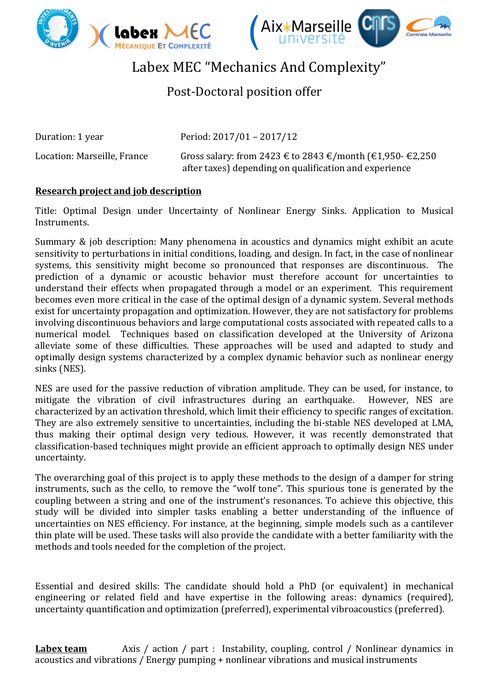



## Labex MEC "Mechanics And Complexity"

## Post-Doctoral position offer

Duration: 1 year Period: 2017/01 – 2017/12

Location: Marseille, France Gross salary: from 2423 € to 2843 €/month (€1,950- €2,250 after taxes) depending on qualification and experience

## **Research project and job description**

Title: Optimal Design under Uncertainty of Nonlinear Energy Sinks. Application to Musical Instruments.

Summary & job description: Many phenomena in acoustics and dynamics might exhibit an acute sensitivity to perturbations in initial conditions, loading, and design. In fact, in the case of nonlinear systems, this sensitivity might become so pronounced that responses are discontinuous. The prediction of a dynamic or acoustic behavior must therefore account for uncertainties to understand their effects when propagated through a model or an experiment. This requirement becomes even more critical in the case of the optimal design of a dynamic system. Several methods exist for uncertainty propagation and optimization. However, they are not satisfactory for problems involving discontinuous behaviors and large computational costs associated with repeated calls to a numerical model. Techniques based on classification developed at the University of Arizona alleviate some of these difficulties. These approaches will be used and adapted to study and optimally design systems characterized by a complex dynamic behavior such as nonlinear energy sinks (NES).

NES are used for the passive reduction of vibration amplitude. They can be used, for instance, to mitigate the vibration of civil infrastructures during an earthquake. However, NES are characterized by an activation threshold, which limit their efficiency to specific ranges of excitation. They are also extremely sensitive to uncertainties, including the bi-stable NES developed at LMA. thus making their optimal design very tedious. However, it was recently demonstrated that classification-based techniques might provide an efficient approach to optimally design NES under uncertainty.

The overarching goal of this project is to apply these methods to the design of a damper for string instruments, such as the cello, to remove the "wolf tone". This spurious tone is generated by the coupling between a string and one of the instrument's resonances. To achieve this objective, this study will be divided into simpler tasks enabling a better understanding of the influence of uncertainties on NES efficiency. For instance, at the beginning, simple models such as a cantilever thin plate will be used. These tasks will also provide the candidate with a better familiarity with the methods and tools needed for the completion of the project.

Essential and desired skills: The candidate should hold a PhD (or equivalent) in mechanical engineering or related field and have expertise in the following areas: dynamics (required), uncertainty quantification and optimization (preferred), experimental vibroacoustics (preferred).